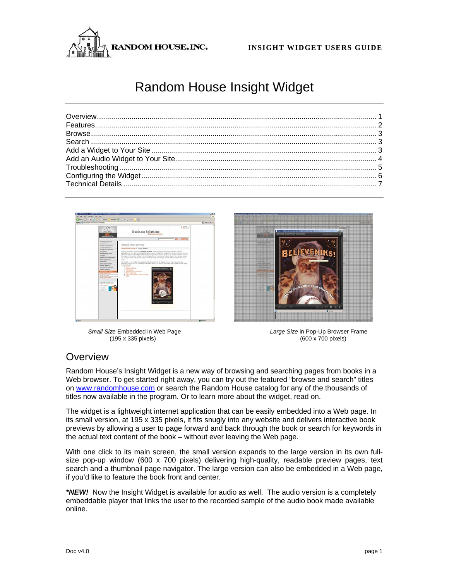

# Random House Insight Widget





*Small Size* Embedded in Web Page *Large Size* in Pop-Up Browser Frame (195 x 335 pixels) (600 x 700 pixels)

## **Overview**

Random House's Insight Widget is a new way of browsing and searching pages from books in a Web browser. To get started right away, you can try out the featured "browse and search" titles on www.randomhouse.com or search the Random House catalog for any of the thousands of titles now available in the program. Or to learn more about the widget, read on.

The widget is a lightweight internet application that can be easily embedded into a Web page. In its small version, at 195 x 335 pixels, it fits snugly into any website and delivers interactive book previews by allowing a user to page forward and back through the book or search for keywords in the actual text content of the book – without ever leaving the Web page.

With one click to its main screen, the small version expands to the large version in its own fullsize pop-up window (600 x 700 pixels) delivering high-quality, readable preview pages, text search and a thumbnail page navigator. The large version can also be embedded in a Web page, if you'd like to feature the book front and center.

*\*NEW!* Now the Insight Widget is available for audio as well. The audio version is a completely embeddable player that links the user to the recorded sample of the audio book made available online.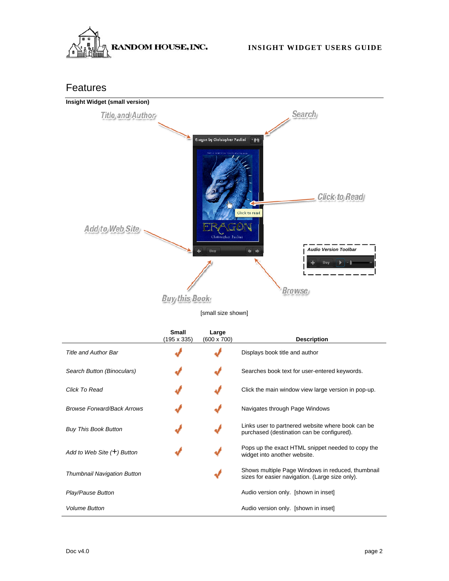

## Features



[small size shown]

|                                    | <b>Small</b><br>(195 x 335) | Large<br>$(600 \times 700)$ | <b>Description</b>                                                                                   |
|------------------------------------|-----------------------------|-----------------------------|------------------------------------------------------------------------------------------------------|
| Title and Author Bar               |                             |                             | Displays book title and author                                                                       |
| Search Button (Binoculars)         |                             |                             | Searches book text for user-entered keywords.                                                        |
| Click To Read                      |                             |                             | Click the main window view large version in pop-up.                                                  |
| <b>Browse Forward/Back Arrows</b>  |                             |                             | Navigates through Page Windows                                                                       |
| <b>Buy This Book Button</b>        |                             |                             | Links user to partnered website where book can be<br>purchased (destination can be configured).      |
| Add to Web Site $(+)$ Button       |                             |                             | Pops up the exact HTML snippet needed to copy the<br>widget into another website.                    |
| <b>Thumbnail Navigation Button</b> |                             |                             | Shows multiple Page Windows in reduced, thumbnail<br>sizes for easier navigation. (Large size only). |
| Play/Pause Button                  |                             |                             | Audio version only. [shown in inset]                                                                 |
| <b>Volume Button</b>               |                             |                             | Audio version only. [shown in inset]                                                                 |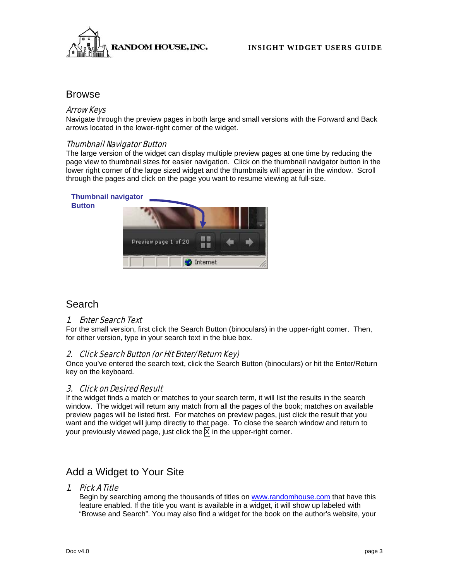

## **Browse**

## Arrow Keys

Navigate through the preview pages in both large and small versions with the Forward and Back arrows located in the lower-right corner of the widget.

### Thumbnail Navigator Button

The large version of the widget can display multiple preview pages at one time by reducing the page view to thumbnail sizes for easier navigation. Click on the thumbnail navigator button in the lower right corner of the large sized widget and the thumbnails will appear in the window. Scroll through the pages and click on the page you want to resume viewing at full-size.



**Button**



## Search

## 1. Enter Search Text

For the small version, first click the Search Button (binoculars) in the upper-right corner. Then, for either version, type in your search text in the blue box.

### 2. Click Search Button (or Hit Enter/Return Key)

Once you've entered the search text, click the Search Button (binoculars) or hit the Enter/Return key on the keyboard.

## 3. Click on Desired Result

If the widget finds a match or matches to your search term, it will list the results in the search window. The widget will return any match from all the pages of the book; matches on available preview pages will be listed first. For matches on preview pages, just click the result that you want and the widget will jump directly to that page. To close the search window and return to your previously viewed page, just click the  $\overline{X}$  in the upper-right corner.

## Add a Widget to Your Site

## 1. Pick A Title

Begin by searching among the thousands of titles on www.randomhouse.com that have this feature enabled. If the title you want is available in a widget, it will show up labeled with "Browse and Search". You may also find a widget for the book on the author's website, your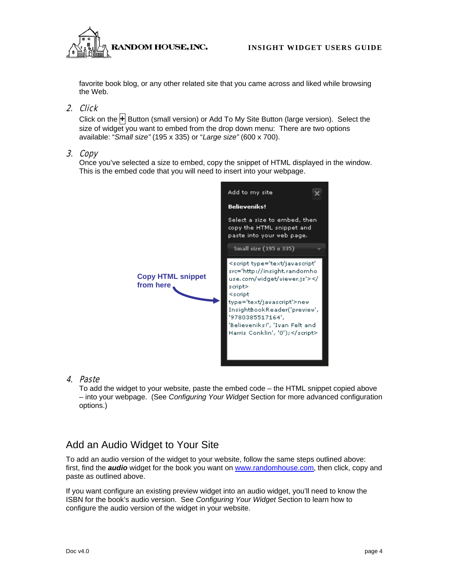

favorite book blog, or any other related site that you came across and liked while browsing the Web.

## 2. Click

Click on the **+** Button (small version) or Add To My Site Button (large version). Select the size of widget you want to embed from the drop down menu: There are two options available: "*Small size"* (195 x 335) or "*Large size"* (600 x 700).

## 3. Copy

Once you've selected a size to embed, copy the snippet of HTML displayed in the window. This is the embed code that you will need to insert into your webpage.



## 4. Paste

To add the widget to your website, paste the embed code – the HTML snippet copied above – into your webpage. (See *Configuring Your Widget* Section for more advanced configuration options.)

## Add an Audio Widget to Your Site

To add an audio version of the widget to your website, follow the same steps outlined above: first, find the *audio* widget for the book you want on www.randomhouse.com, then click, copy and paste as outlined above.

If you want configure an existing preview widget into an audio widget, you'll need to know the ISBN for the book's audio version. See *Configuring Your Widget* Section to learn how to configure the audio version of the widget in your website.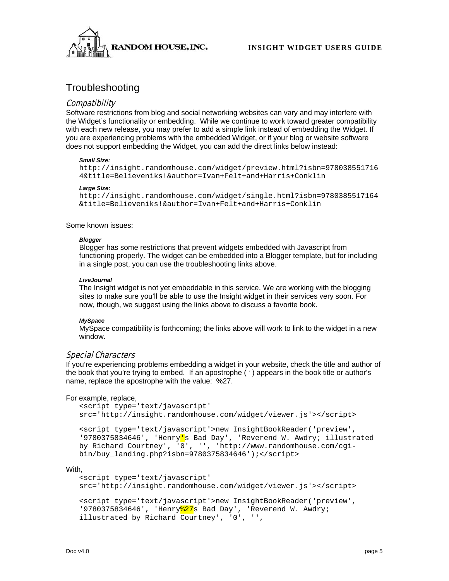

## **Troubleshooting**

### **Compatibility**

Software restrictions from blog and social networking websites can vary and may interfere with the Widget's functionality or embedding. While we continue to work toward greater compatibility with each new release, you may prefer to add a simple link instead of embedding the Widget. If you are experiencing problems with the embedded Widget, or if your blog or website software does not support embedding the Widget, you can add the direct links below instead:

#### *Small Size:*

```
http://insight.randomhouse.com/widget/preview.html?isbn=978038551716
4&title=Believeniks!&author=Ivan+Felt+and+Harris+Conklin
```
#### *Large Size:*

```
http://insight.randomhouse.com/widget/single.html?isbn=9780385517164
&title=Believeniks!&author=Ivan+Felt+and+Harris+Conklin
```
#### Some known issues:

#### *Blogger*

Blogger has some restrictions that prevent widgets embedded with Javascript from functioning properly. The widget can be embedded into a Blogger template, but for including in a single post, you can use the troubleshooting links above.

#### *LiveJournal*

The Insight widget is not yet embeddable in this service. We are working with the blogging sites to make sure you'll be able to use the Insight widget in their services very soon. For now, though, we suggest using the links above to discuss a favorite book.

#### *MySpace*

MySpace compatibility is forthcoming; the links above will work to link to the widget in a new window.

### Special Characters

If you're experiencing problems embedding a widget in your website, check the title and author of the book that you're trying to embed. If an apostrophe ( ' ) appears in the book title or author's name, replace the apostrophe with the value: %27.

For example, replace,

```
<script type='text/javascript' 
src='http://insight.randomhouse.com/widget/viewer.js'></script>
```

```
<script type='text/javascript'>new InsightBookReader('preview', 
'9780375834646', 'Henry<mark>'</mark>s Bad Day', 'Reverend W. Awdry; illustrated
by Richard Courtney', '0', '', 'http://www.randomhouse.com/cgi-
bin/buy_landing.php?isbn=9780375834646');</script>
```
#### With,

```
<script type='text/javascript' 
src='http://insight.randomhouse.com/widget/viewer.js'></script>
```

```
<script type='text/javascript'>new InsightBookReader('preview', 
'9780375834646', 'Henry<mark>%27</mark>s Bad Day', 'Reverend W. Awdry;
illustrated by Richard Courtney', '0', '',
```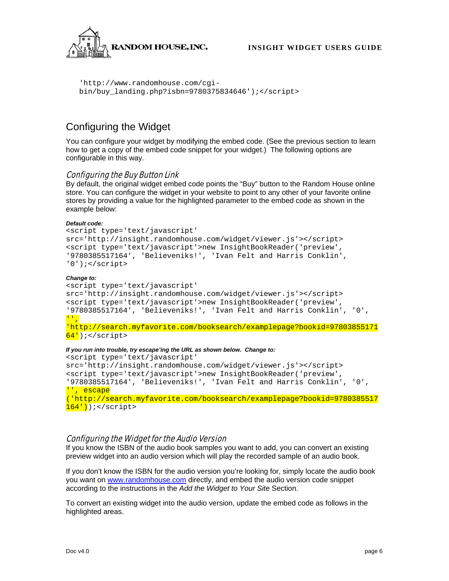

```
'http://www.randomhouse.com/cgi-
bin/buy landing.php?isbn=9780375834646');</script>
```
## Configuring the Widget

You can configure your widget by modifying the embed code. (See the previous section to learn how to get a copy of the embed code snippet for your widget.) The following options are configurable in this way.

### Configuring the Buy Button Link

By default, the original widget embed code points the "Buy" button to the Random House online store. You can configure the widget in your website to point to any other of your favorite online stores by providing a value for the highlighted parameter to the embed code as shown in the example below:

#### *Default code:*

```
<script type='text/javascript' 
src='http://insight.randomhouse.com/widget/viewer.js'></script> 
<script type='text/javascript'>new InsightBookReader('preview', 
'9780385517164', 'Believeniks!', 'Ivan Felt and Harris Conklin', 
'0');</script>
```
#### *Change to:*

```
<script type='text/javascript' 
src='http://insight.randomhouse.com/widget/viewer.js'></script> 
<script type='text/javascript'>new InsightBookReader('preview', 
'9780385517164', 'Believeniks!', 'Ivan Felt and Harris Conklin', '0', 
\mathbf{u}, \mathbf{v}'http://search.myfavorite.com/booksearch/examplepage?bookid=97803855171
64');</script>
```
#### *If you run into trouble, try escape'ing the URL as shown below. Change to:*

```
<script type='text/javascript' 
src='http://insight.randomhouse.com/widget/viewer.js'></script> 
<script type='text/javascript'>new InsightBookReader('preview', 
'9780385517164', 'Believeniks!', 'Ivan Felt and Harris Conklin', '0', 
'', escape 
('http://search.myfavorite.com/booksearch/examplepage?bookid=9780385517
164'));</script>
```
### Configuring the Widget for the Audio Version

If you know the ISBN of the audio book samples you want to add, you can convert an existing preview widget into an audio version which will play the recorded sample of an audio book.

If you don't know the ISBN for the audio version you're looking for, simply locate the audio book you want on www.randomhouse.com directly, and embed the audio version code snippet according to the instructions in the *Add the Widget to Your Site* Section.

To convert an existing widget into the audio version, update the embed code as follows in the highlighted areas.